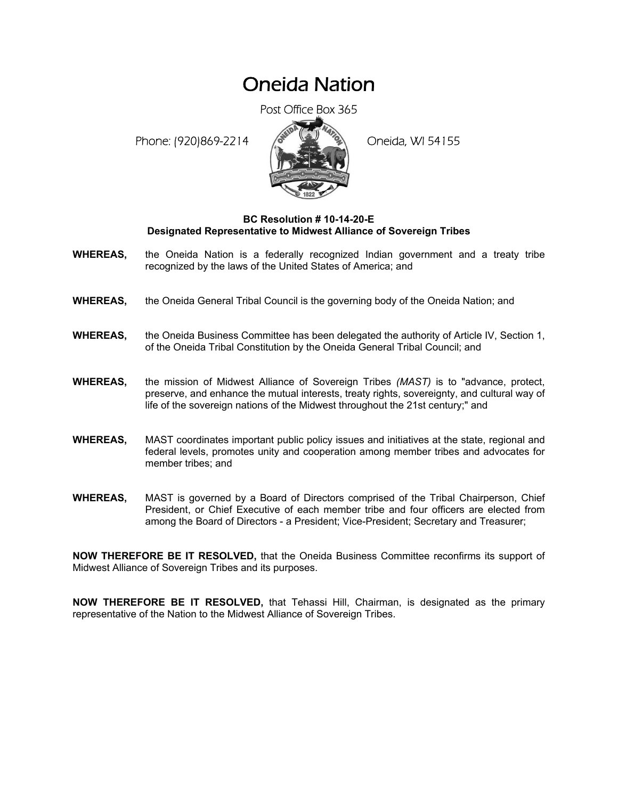## Oneida Nation

Post Office Box 365

Phone: (920)869-2214 (8 April 2) Oneida, WI 54155



## **BC Resolution # 10-14-20-E Designated Representative to Midwest Alliance of Sovereign Tribes**

- **WHEREAS,** the Oneida Nation is a federally recognized Indian government and a treaty tribe recognized by the laws of the United States of America; and
- **WHEREAS,** the Oneida General Tribal Council is the governing body of the Oneida Nation; and
- **WHEREAS,** the Oneida Business Committee has been delegated the authority of Article IV, Section 1, of the Oneida Tribal Constitution by the Oneida General Tribal Council; and
- **WHEREAS,** the mission of Midwest Alliance of Sovereign Tribes *(MAST)* is to "advance, protect, preserve, and enhance the mutual interests, treaty rights, sovereignty, and cultural way of life of the sovereign nations of the Midwest throughout the 21st century;" and
- **WHEREAS,** MAST coordinates important public policy issues and initiatives at the state, regional and federal levels, promotes unity and cooperation among member tribes and advocates for member tribes; and
- **WHEREAS,** MAST is governed by a Board of Directors comprised of the Tribal Chairperson, Chief President, or Chief Executive of each member tribe and four officers are elected from among the Board of Directors - a President; Vice-President; Secretary and Treasurer;

**NOW THEREFORE BE IT RESOLVED,** that the Oneida Business Committee reconfirms its support of Midwest Alliance of Sovereign Tribes and its purposes.

**NOW THEREFORE BE IT RESOLVED,** that Tehassi Hill, Chairman, is designated as the primary representative of the Nation to the Midwest Alliance of Sovereign Tribes.